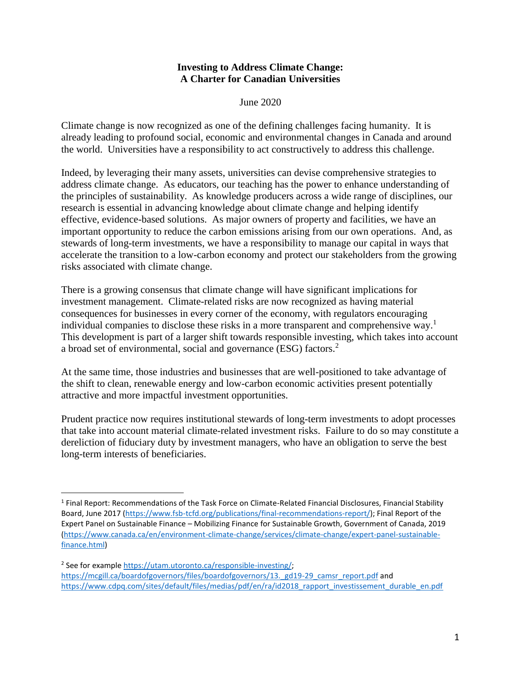## **Investing to Address Climate Change: A Charter for Canadian Universities**

June 2020

Climate change is now recognized as one of the defining challenges facing humanity. It is already leading to profound social, economic and environmental changes in Canada and around the world. Universities have a responsibility to act constructively to address this challenge.

Indeed, by leveraging their many assets, universities can devise comprehensive strategies to address climate change. As educators, our teaching has the power to enhance understanding of the principles of sustainability. As knowledge producers across a wide range of disciplines, our research is essential in advancing knowledge about climate change and helping identify effective, evidence-based solutions. As major owners of property and facilities, we have an important opportunity to reduce the carbon emissions arising from our own operations. And, as stewards of long-term investments, we have a responsibility to manage our capital in ways that accelerate the transition to a low-carbon economy and protect our stakeholders from the growing risks associated with climate change.

There is a growing consensus that climate change will have significant implications for investment management. Climate-related risks are now recognized as having material consequences for businesses in every corner of the economy, with regulators encouraging individual companies to disclose these risks in a more transparent and comprehensive way. 1 This development is part of a larger shift towards responsible investing, which takes into account a broad set of environmental, social and governance (ESG) factors.<sup>2</sup>

At the same time, those industries and businesses that are well-positioned to take advantage of the shift to clean, renewable energy and low-carbon economic activities present potentially attractive and more impactful investment opportunities.

Prudent practice now requires institutional stewards of long-term investments to adopt processes that take into account material climate-related investment risks. Failure to do so may constitute a dereliction of fiduciary duty by investment managers, who have an obligation to serve the best long-term interests of beneficiaries.

 $\overline{a}$ 

<sup>&</sup>lt;sup>1</sup> Final Report: Recommendations of the Task Force on Climate-Related Financial Disclosures, Financial Stability Board, June 2017 [\(https://www.fsb-tcfd.org/publications/final-recommendations-report/\)](https://www.fsb-tcfd.org/publications/final-recommendations-report/); Final Report of the Expert Panel on Sustainable Finance – Mobilizing Finance for Sustainable Growth, Government of Canada, 2019 [\(https://www.canada.ca/en/environment-climate-change/services/climate-change/expert-panel-sustainable](https://www.canada.ca/en/environment-climate-change/services/climate-change/expert-panel-sustainable-finance.html)[finance.html\)](https://www.canada.ca/en/environment-climate-change/services/climate-change/expert-panel-sustainable-finance.html)

<sup>&</sup>lt;sup>2</sup> See for example [https://utam.utoronto.ca/responsible-investing/;](https://utam.utoronto.ca/responsible-investing/) [https://mcgill.ca/boardofgovernors/files/boardofgovernors/13.\\_gd19-29\\_camsr\\_report.pdf](https://mcgill.ca/boardofgovernors/files/boardofgovernors/13._gd19-29_camsr_report.pdf) and [https://www.cdpq.com/sites/default/files/medias/pdf/en/ra/id2018\\_rapport\\_investissement\\_durable\\_en.pdf](https://www.cdpq.com/sites/default/files/medias/pdf/en/ra/id2018_rapport_investissement_durable_en.pdf)